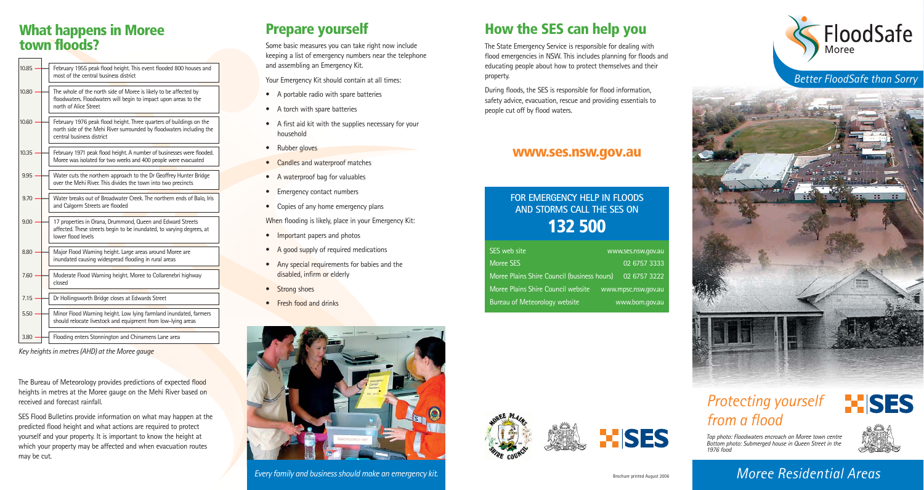### **What happens in Moree town floods?**

| 10.85 | February 1955 peak flood height. This event flooded 800 houses and<br>most of the central business district                                                              |
|-------|--------------------------------------------------------------------------------------------------------------------------------------------------------------------------|
| 10.80 | The whole of the north side of Moree is likely to be affected by<br>floodwaters. Floodwaters will begin to impact upon areas to the<br>north of Alice Street             |
| 10.60 | February 1976 peak flood height. Three quarters of buildings on the<br>north side of the Mehi River surrounded by floodwaters including the<br>central business district |
| 10.35 | February 1971 peak flood height. A number of businesses were flooded.<br>Moree was isolated for two weeks and 400 people were evacuated                                  |
| 9.95  | Water cuts the northern approach to the Dr Geoffrey Hunter Bridge<br>over the Mehi River. This divides the town into two precincts                                       |
| 9.70  | Water breaks out of Broadwater Creek. The northern ends of Balo, Iris<br>and Calgorm Streets are flooded                                                                 |
| 9.00  | 17 properties in Orana, Drummond, Queen and Edward Streets<br>affected. These streets begin to be inundated, to varying degrees, at<br>lower flood levels                |
| 8.80  | Major Flood Warning height. Large areas around Moree are<br>inundated causing widespread flooding in rural areas                                                         |
| 7.60  | Moderate Flood Warning height. Moree to Collarenebri highway<br>closed                                                                                                   |
| 7.15  | Dr Hollingsworth Bridge closes at Edwards Street                                                                                                                         |
| 5.50  | Minor Flood Warning height. Low lying farmland inundated, farmers<br>should relocate livestock and equipment from low-lying areas                                        |
|       |                                                                                                                                                                          |

3.80 **——** Flooding enters Stonnington and Chinamens Lane area

*Key heights in metres (AHD) at the Moree gauge*

The Bureau of Meteorology provides predictions of expected flood heights in metres at the Moree gauge on the Mehi River based on received and forecast rainfall.

SES Flood Bulletins provide information on what may happen at the predicted flood height and what actions are required to protect yourself and your property. It is important to know the height at which your property may be affected and when evacuation routes may be cut.

## **Prepare yourself**

Some basic measures you can take right now include keeping a list of emergency numbers near the telephone and assembling an Emergency Kit.

Your Emergency Kit should contain at all times:

- A portable radio with spare batteries
- A torch with spare batteries
- A first aid kit with the supplies necessary for your household
- Rubber gloves
- Candles and waterproof matches
- A waterproof bag for valuables
- Emergency contact numbers
- Copies of any home emergency plans

When flooding is likely, place in your Emergency Kit:

- Important papers and photos
- A good supply of required medications
- Any special requirements for babies and the disabled, infirm or elderly
- Strong shoes
- Fresh food and drinks



*Every family and business should make an emergency kit.*

# **How the SES can help you**

The State Emergency Service is responsible for dealing with flood emergencies in NSW. This includes planning for floods and educating people about how to protect themselves and their property.

During floods, the SES is responsible for flood information, safety advice, evacuation, rescue and providing essentials to people cut off by flood waters.

#### **www.ses.nsw.gov.au**

### **FOR EMERGENCY HELP IN FLOODS AND STORMS CALL THE SES ON 132 500**

| SES web site                                              | www.ses.nsw.gov.au |
|-----------------------------------------------------------|--------------------|
| Moree SES                                                 | 02 6757 3333       |
| Moree Plains Shire Council (business hours)               | 02 6757 3222       |
| Moree Plains Shire Council website<br>www.mpsc.nsw.gov.au |                    |
| Bureau of Meteorology website                             | www.bom.gov.au     |



*Better FloodSafe than Sorry*



# *Protecting yourself from a flood*

Top photo: Floodwaters encroach on Moree town centre Bottom photo: Submerged house in Queen Street in the 1976 food



**Exists** 

*Moree Residential Areas*

Brochure printed August 2006

**XISES**